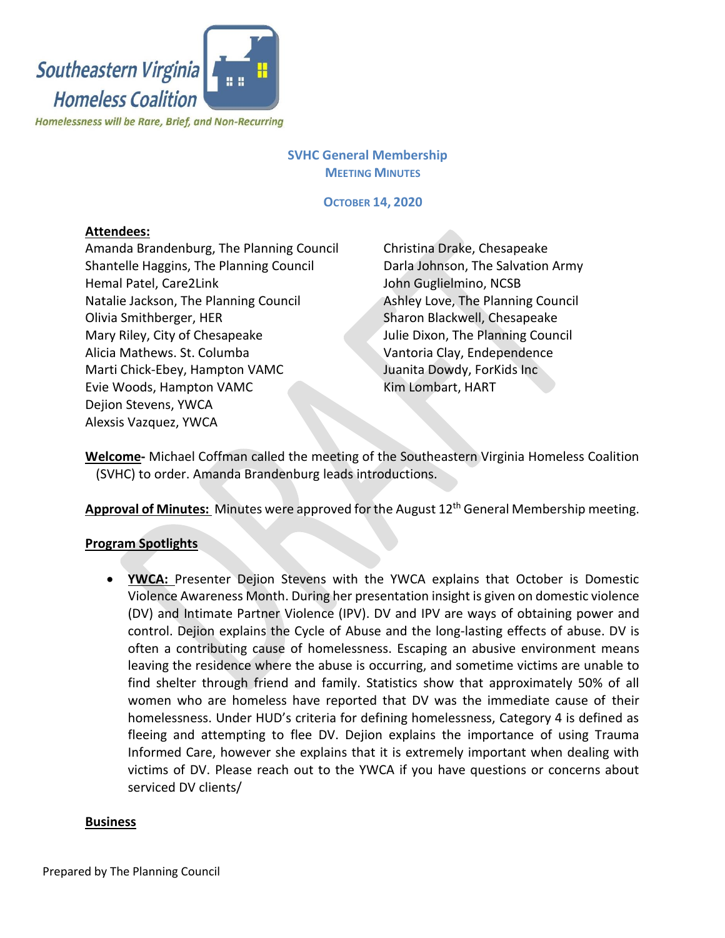

## **SVHC General Membership MEETING MINUTES**

**OCTOBER 14, 2020**

# **Attendees:**

Amanda Brandenburg, The Planning Council Shantelle Haggins, The Planning Council Hemal Patel, Care2Link Natalie Jackson, The Planning Council Olivia Smithberger, HER Mary Riley, City of Chesapeake Alicia Mathews. St. Columba Marti Chick-Ebey, Hampton VAMC Evie Woods, Hampton VAMC Dejion Stevens, YWCA Alexsis Vazquez, YWCA

Christina Drake, Chesapeake Darla Johnson, The Salvation Army John Guglielmino, NCSB Ashley Love, The Planning Council Sharon Blackwell, Chesapeake Julie Dixon, The Planning Council Vantoria Clay, Endependence Juanita Dowdy, ForKids Inc Kim Lombart, HART

**Welcome-** Michael Coffman called the meeting of the Southeastern Virginia Homeless Coalition (SVHC) to order. Amanda Brandenburg leads introductions.

**Approval of Minutes:** Minutes were approved for the August 12 th General Membership meeting.

## **Program Spotlights**

• **YWCA:** Presenter Dejion Stevens with the YWCA explains that October is Domestic Violence Awareness Month. During her presentation insight is given on domestic violence (DV) and Intimate Partner Violence (IPV). DV and IPV are ways of obtaining power and control. Dejion explains the Cycle of Abuse and the long-lasting effects of abuse. DV is often a contributing cause of homelessness. Escaping an abusive environment means leaving the residence where the abuse is occurring, and sometime victims are unable to find shelter through friend and family. Statistics show that approximately 50% of all women who are homeless have reported that DV was the immediate cause of their homelessness. Under HUD's criteria for defining homelessness, Category 4 is defined as fleeing and attempting to flee DV. Dejion explains the importance of using Trauma Informed Care, however she explains that it is extremely important when dealing with victims of DV. Please reach out to the YWCA if you have questions or concerns about serviced DV clients/

#### **Business**